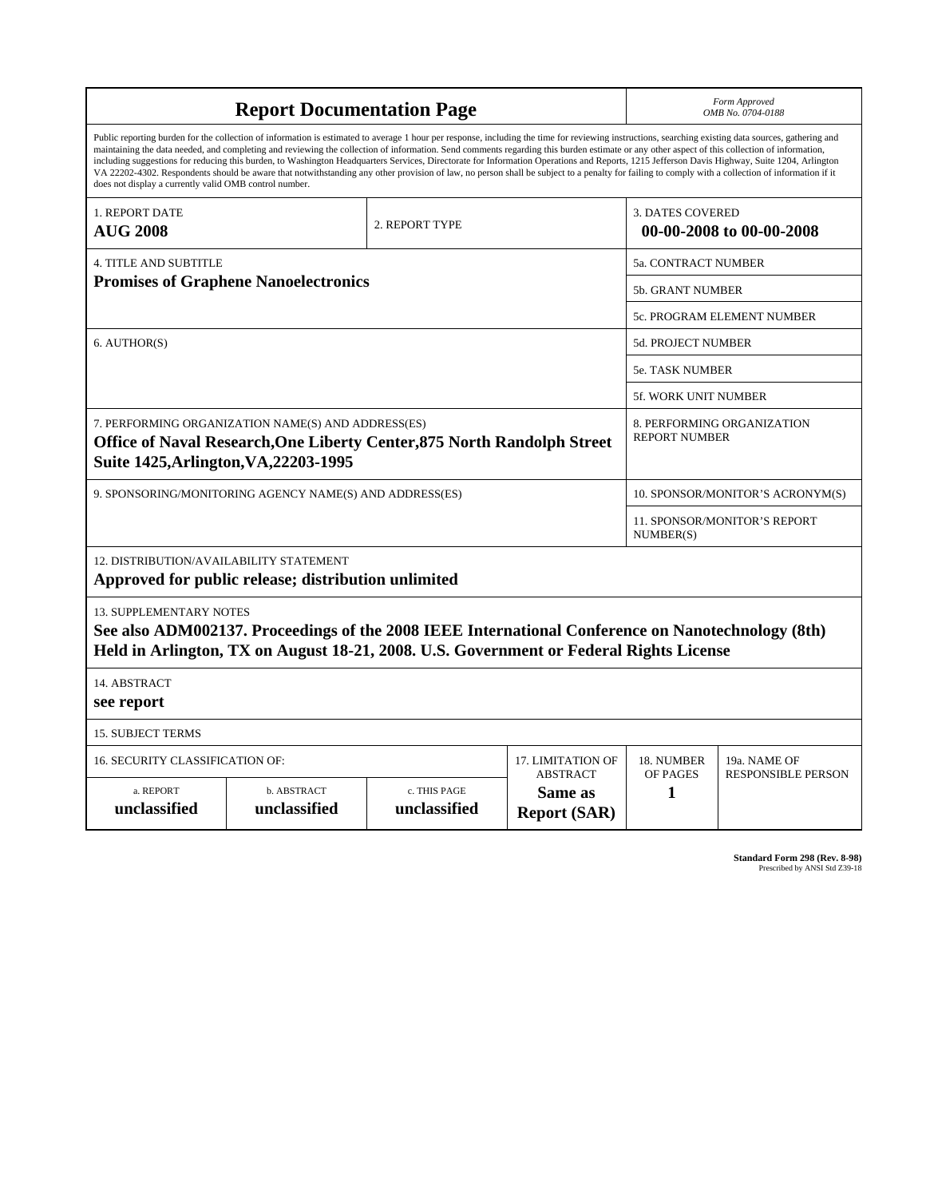| <b>Report Documentation Page</b>                                                                                                                                                                                                                                                                                                                                                                                                                                                                                                                                                                                                                                                                                                                                                                                                                                   |                             |                              |                                                   | Form Approved<br>OMB No. 0704-0188                  |                           |
|--------------------------------------------------------------------------------------------------------------------------------------------------------------------------------------------------------------------------------------------------------------------------------------------------------------------------------------------------------------------------------------------------------------------------------------------------------------------------------------------------------------------------------------------------------------------------------------------------------------------------------------------------------------------------------------------------------------------------------------------------------------------------------------------------------------------------------------------------------------------|-----------------------------|------------------------------|---------------------------------------------------|-----------------------------------------------------|---------------------------|
| Public reporting burden for the collection of information is estimated to average 1 hour per response, including the time for reviewing instructions, searching existing data sources, gathering and<br>maintaining the data needed, and completing and reviewing the collection of information. Send comments regarding this burden estimate or any other aspect of this collection of information,<br>including suggestions for reducing this burden, to Washington Headquarters Services, Directorate for Information Operations and Reports, 1215 Jefferson Davis Highway, Suite 1204, Arlington<br>VA 22202-4302. Respondents should be aware that notwithstanding any other provision of law, no person shall be subject to a penalty for failing to comply with a collection of information if it<br>does not display a currently valid OMB control number. |                             |                              |                                                   |                                                     |                           |
| <b>1. REPORT DATE</b><br><b>AUG 2008</b>                                                                                                                                                                                                                                                                                                                                                                                                                                                                                                                                                                                                                                                                                                                                                                                                                           | 2. REPORT TYPE              |                              |                                                   | <b>3. DATES COVERED</b><br>00-00-2008 to 00-00-2008 |                           |
| <b>4. TITLE AND SUBTITLE</b>                                                                                                                                                                                                                                                                                                                                                                                                                                                                                                                                                                                                                                                                                                                                                                                                                                       |                             |                              |                                                   | 5a. CONTRACT NUMBER                                 |                           |
| <b>Promises of Graphene Nanoelectronics</b>                                                                                                                                                                                                                                                                                                                                                                                                                                                                                                                                                                                                                                                                                                                                                                                                                        |                             |                              |                                                   | 5b. GRANT NUMBER                                    |                           |
|                                                                                                                                                                                                                                                                                                                                                                                                                                                                                                                                                                                                                                                                                                                                                                                                                                                                    |                             |                              |                                                   | 5c. PROGRAM ELEMENT NUMBER                          |                           |
| 6. AUTHOR(S)                                                                                                                                                                                                                                                                                                                                                                                                                                                                                                                                                                                                                                                                                                                                                                                                                                                       |                             |                              |                                                   | <b>5d. PROJECT NUMBER</b>                           |                           |
|                                                                                                                                                                                                                                                                                                                                                                                                                                                                                                                                                                                                                                                                                                                                                                                                                                                                    |                             |                              |                                                   | 5e. TASK NUMBER                                     |                           |
|                                                                                                                                                                                                                                                                                                                                                                                                                                                                                                                                                                                                                                                                                                                                                                                                                                                                    |                             |                              |                                                   | <b>5f. WORK UNIT NUMBER</b>                         |                           |
| 7. PERFORMING ORGANIZATION NAME(S) AND ADDRESS(ES)<br>Office of Naval Research, One Liberty Center, 875 North Randolph Street<br>Suite 1425, Arlington, VA, 22203-1995                                                                                                                                                                                                                                                                                                                                                                                                                                                                                                                                                                                                                                                                                             |                             |                              |                                                   | 8. PERFORMING ORGANIZATION<br><b>REPORT NUMBER</b>  |                           |
| 9. SPONSORING/MONITORING AGENCY NAME(S) AND ADDRESS(ES)                                                                                                                                                                                                                                                                                                                                                                                                                                                                                                                                                                                                                                                                                                                                                                                                            |                             |                              |                                                   | 10. SPONSOR/MONITOR'S ACRONYM(S)                    |                           |
|                                                                                                                                                                                                                                                                                                                                                                                                                                                                                                                                                                                                                                                                                                                                                                                                                                                                    |                             |                              |                                                   | 11. SPONSOR/MONITOR'S REPORT<br>NUMBER(S)           |                           |
| 12. DISTRIBUTION/AVAILABILITY STATEMENT<br>Approved for public release; distribution unlimited                                                                                                                                                                                                                                                                                                                                                                                                                                                                                                                                                                                                                                                                                                                                                                     |                             |                              |                                                   |                                                     |                           |
| <b>13. SUPPLEMENTARY NOTES</b><br>See also ADM002137. Proceedings of the 2008 IEEE International Conference on Nanotechnology (8th)<br>Held in Arlington, TX on August 18-21, 2008. U.S. Government or Federal Rights License                                                                                                                                                                                                                                                                                                                                                                                                                                                                                                                                                                                                                                      |                             |                              |                                                   |                                                     |                           |
| 14. ABSTRACT<br>see report                                                                                                                                                                                                                                                                                                                                                                                                                                                                                                                                                                                                                                                                                                                                                                                                                                         |                             |                              |                                                   |                                                     |                           |
| <b>15. SUBJECT TERMS</b>                                                                                                                                                                                                                                                                                                                                                                                                                                                                                                                                                                                                                                                                                                                                                                                                                                           |                             |                              |                                                   |                                                     |                           |
| 16. SECURITY CLASSIFICATION OF:<br>17. LIMITATION OF                                                                                                                                                                                                                                                                                                                                                                                                                                                                                                                                                                                                                                                                                                                                                                                                               |                             |                              |                                                   | 18. NUMBER                                          | 19a. NAME OF              |
| a. REPORT<br>unclassified                                                                                                                                                                                                                                                                                                                                                                                                                                                                                                                                                                                                                                                                                                                                                                                                                                          | b. ABSTRACT<br>unclassified | c. THIS PAGE<br>unclassified | <b>ABSTRACT</b><br>Same as<br><b>Report (SAR)</b> | OF PAGES<br>1                                       | <b>RESPONSIBLE PERSON</b> |

**Standard Form 298 (Rev. 8-98)**<br>Prescribed by ANSI Std Z39-18